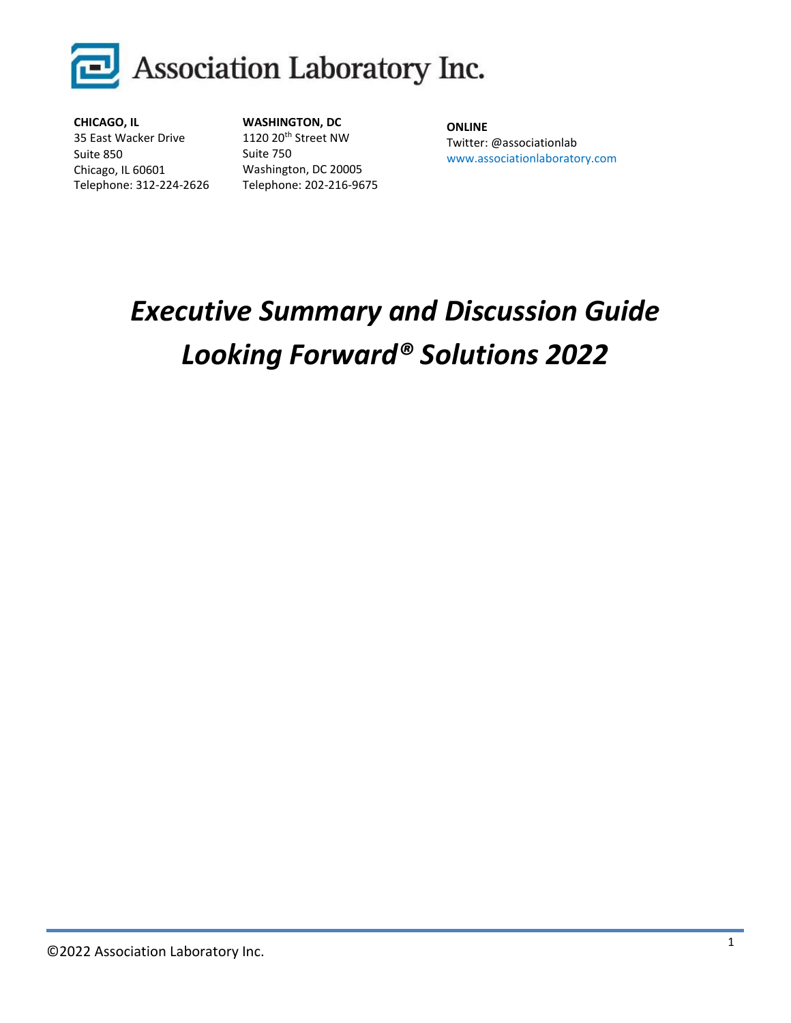

**CHICAGO, IL** 35 East Wacker Drive Suite 850 Chicago, IL 60601 Telephone: 312-224-2626 **WASHINGTON, DC** 1120 20th Street NW Suite 750 Washington, DC 20005 Telephone: 202-216-9675

**ONLINE** Twitter: @associationlab www.associationlaboratory.com

# *Executive Summary and Discussion Guide Looking Forward® Solutions 2022*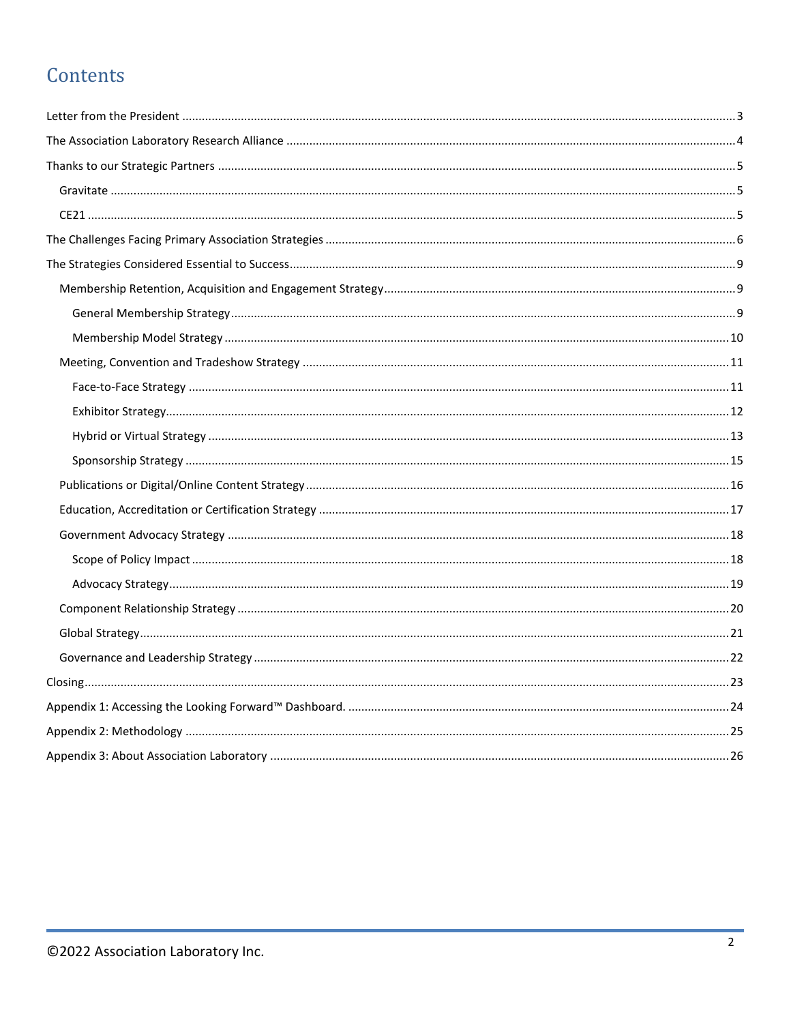# Contents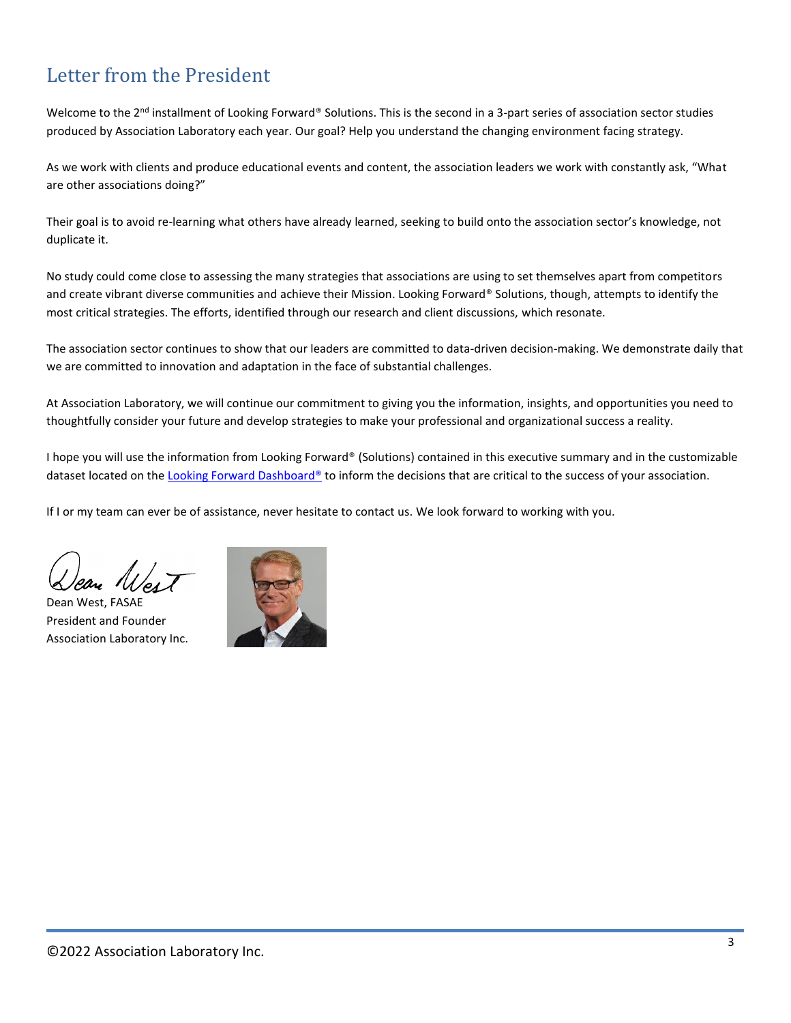# <span id="page-2-0"></span>Letter from the President

Welcome to the 2<sup>nd</sup> installment of Looking Forward® Solutions. This is the second in a 3-part series of association sector studies produced by Association Laboratory each year. Our goal? Help you understand the changing environment facing strategy.

As we work with clients and produce educational events and content, the association leaders we work with constantly ask, "What are other associations doing?"

Their goal is to avoid re-learning what others have already learned, seeking to build onto the association sector's knowledge, not duplicate it.

No study could come close to assessing the many strategies that associations are using to set themselves apart from competitors and create vibrant diverse communities and achieve their Mission. Looking Forward® Solutions, though, attempts to identify the most critical strategies. The efforts, identified through our research and client discussions, which resonate.

The association sector continues to show that our leaders are committed to data-driven decision-making. We demonstrate daily that we are committed to innovation and adaptation in the face of substantial challenges.

At Association Laboratory, we will continue our commitment to giving you the information, insights, and opportunities you need to thoughtfully consider your future and develop strategies to make your professional and organizational success a reality.

I hope you will use the information from Looking Forward® (Solutions) contained in this executive summary and in the customizable dataset located on th[e Looking Forward Dashboard®](https://www.associationlaboratory.com/looking-forward-dashboard/) to inform the decisions that are critical to the success of your association.

If I or my team can ever be of assistance, never hesitate to contact us. We look forward to working with you.

Dean West, FASAE President and Founder Association Laboratory Inc.

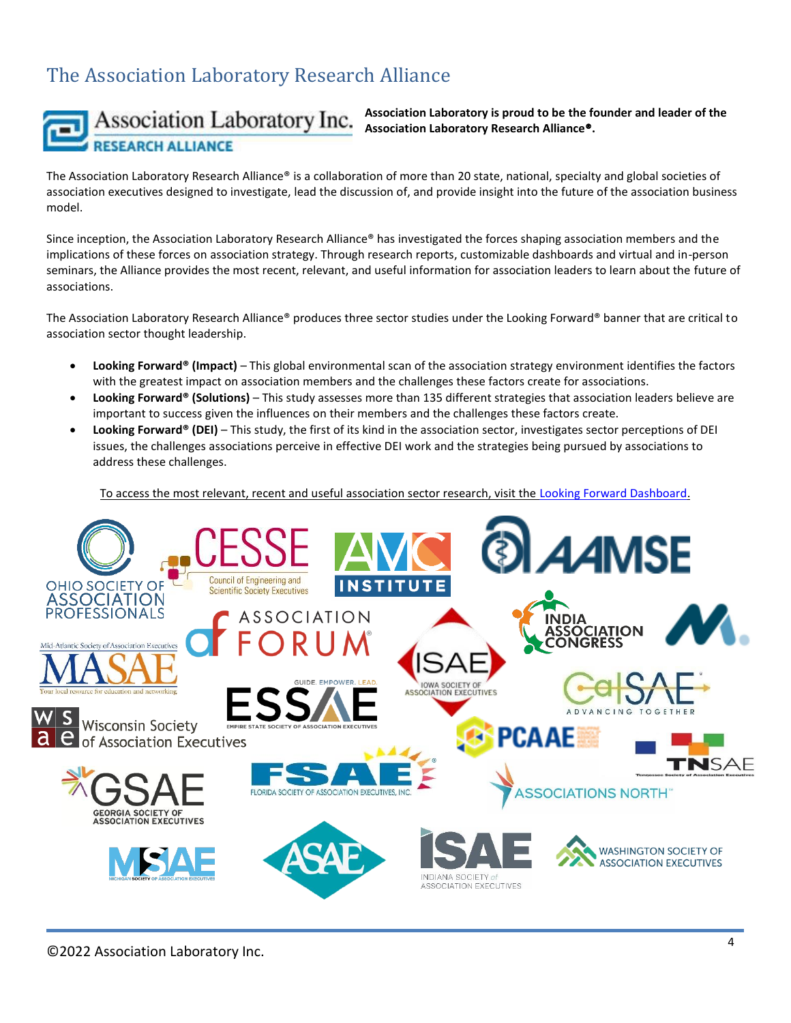# <span id="page-3-0"></span>The Association Laboratory Research Alliance



### Association Laboratory Inc. **RESEARCH ALLIANCE**

**Association Laboratory is proud to be the founder and leader of the Association Laboratory Research Alliance**®**.**

The Association Laboratory Research Alliance® is a collaboration of more than 20 state, national, specialty and global societies of association executives designed to investigate, lead the discussion of, and provide insight into the future of the association business model.

Since inception, the Association Laboratory Research Alliance® has investigated the forces shaping association members and the implications of these forces on association strategy. Through research reports, customizable dashboards and virtual and in-person seminars, the Alliance provides the most recent, relevant, and useful information for association leaders to learn about the future of associations.

The Association Laboratory Research Alliance® produces three sector studies under the Looking Forward® banner that are critical to association sector thought leadership.

- **Looking Forward® (Impact)** This global environmental scan of the association strategy environment identifies the factors with the greatest impact on association members and the challenges these factors create for associations.
- **Looking Forward® (Solutions)** This study assesses more than 135 different strategies that association leaders believe are important to success given the influences on their members and the challenges these factors create.
- **Looking Forward® (DEI)** This study, the first of its kind in the association sector, investigates sector perceptions of DEI issues, the challenges associations perceive in effective DEI work and the strategies being pursued by associations to address these challenges.

To access the most relevant, recent and useful association sector research, visit th[e Looking Forward Dashboard.](https://www.associationlaboratory.com/looking-forward-dashboard/)

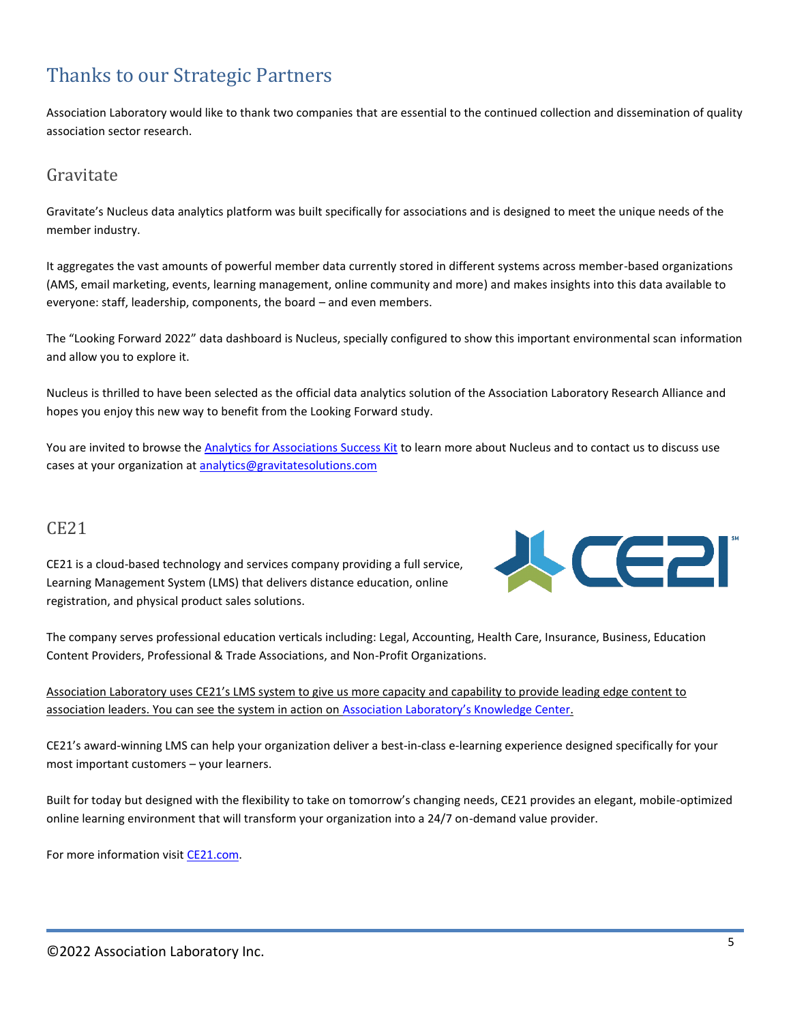# <span id="page-4-0"></span>Thanks to our Strategic Partners

Association Laboratory would like to thank two companies that are essential to the continued collection and dissemination of quality association sector research.

### <span id="page-4-1"></span>Gravitate

Gravitate's Nucleus data analytics platform was built specifically for associations and is designed to meet the unique needs of the member industry.

It aggregates the vast amounts of powerful member data currently stored in different systems across member-based organizations (AMS, email marketing, events, learning management, online community and more) and makes insights into this data available to everyone: staff, leadership, components, the board – and even members.

The "Looking Forward 2022" data dashboard is Nucleus, specially configured to show this important environmental scan information and allow you to explore it.

Nucleus is thrilled to have been selected as the official data analytics solution of the Association Laboratory Research Alliance and hopes you enjoy this new way to benefit from the Looking Forward study.

You are invited to browse the [Analytics for Associations Success Kit](https://nucleusanalytics.com/association-analytics-success-kit/) to learn more about Nucleus and to contact us to discuss use cases at your organization at **[analytics@gravitatesolutions.com](javascript:void(0);)** 

### <span id="page-4-2"></span>CE21

CE21 is a cloud-based technology and services company providing a full service, Learning Management System (LMS) that delivers distance education, online registration, and physical product sales solutions.



The company serves professional education verticals including: Legal, Accounting, Health Care, Insurance, Business, Education Content Providers, Professional & Trade Associations, and Non-Profit Organizations.

|                                                                                                     | Association Laboratory uses CE21's LMS system to give us more capacity and capability to provide leading edge content to |  |  |  |  |
|-----------------------------------------------------------------------------------------------------|--------------------------------------------------------------------------------------------------------------------------|--|--|--|--|
| association leaders. You can see the system in action on Association Laboratory's Knowledge Center. |                                                                                                                          |  |  |  |  |

CE21's award-winning LMS can help your organization deliver a best-in-class e-learning experience designed specifically for your most important customers – your learners.

Built for today but designed with the flexibility to take on tomorrow's changing needs, CE21 provides an elegant, mobile-optimized online learning environment that will transform your organization into a 24/7 on-demand value provider.

For more information visit [CE21.com.](http://www.ce21.com/)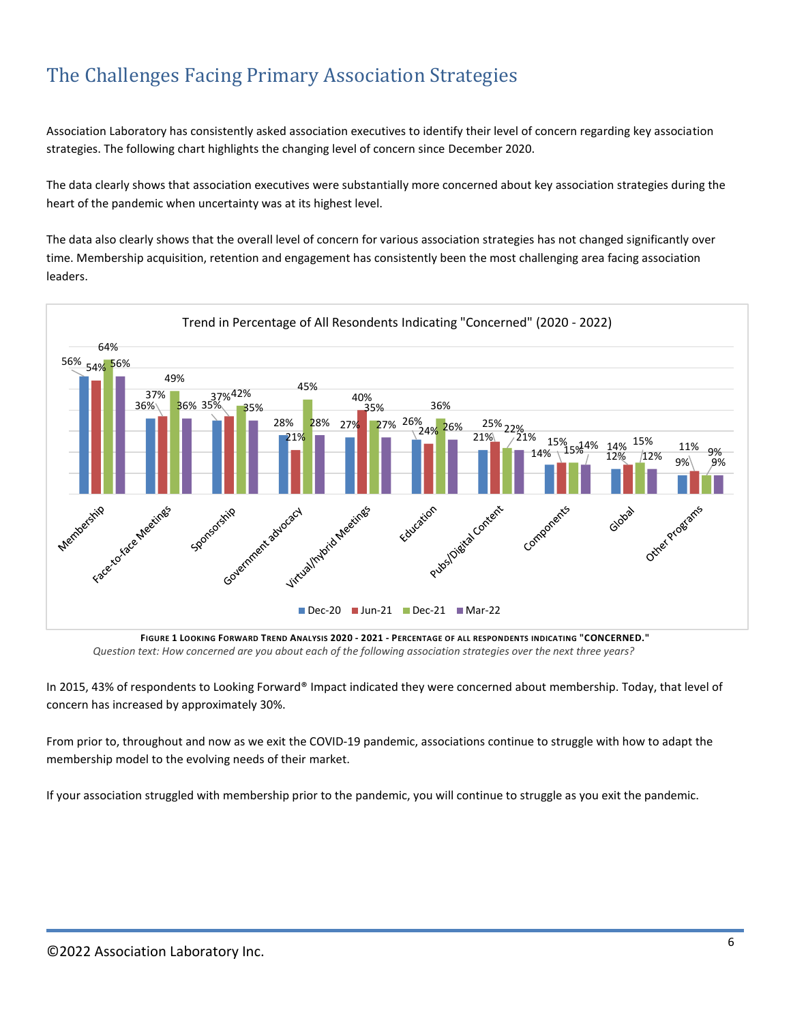# <span id="page-5-0"></span>The Challenges Facing Primary Association Strategies

Association Laboratory has consistently asked association executives to identify their level of concern regarding key association strategies. The following chart highlights the changing level of concern since December 2020.

The data clearly shows that association executives were substantially more concerned about key association strategies during the heart of the pandemic when uncertainty was at its highest level.

The data also clearly shows that the overall level of concern for various association strategies has not changed significantly over time. Membership acquisition, retention and engagement has consistently been the most challenging area facing association leaders.



*Question text: How concerned are you about each of the following association strategies over the next three years?*

In 2015, 43% of respondents to Looking Forward® Impact indicated they were concerned about membership. Today, that level of concern has increased by approximately 30%.

From prior to, throughout and now as we exit the COVID-19 pandemic, associations continue to struggle with how to adapt the membership model to the evolving needs of their market.

If your association struggled with membership prior to the pandemic, you will continue to struggle as you exit the pandemic.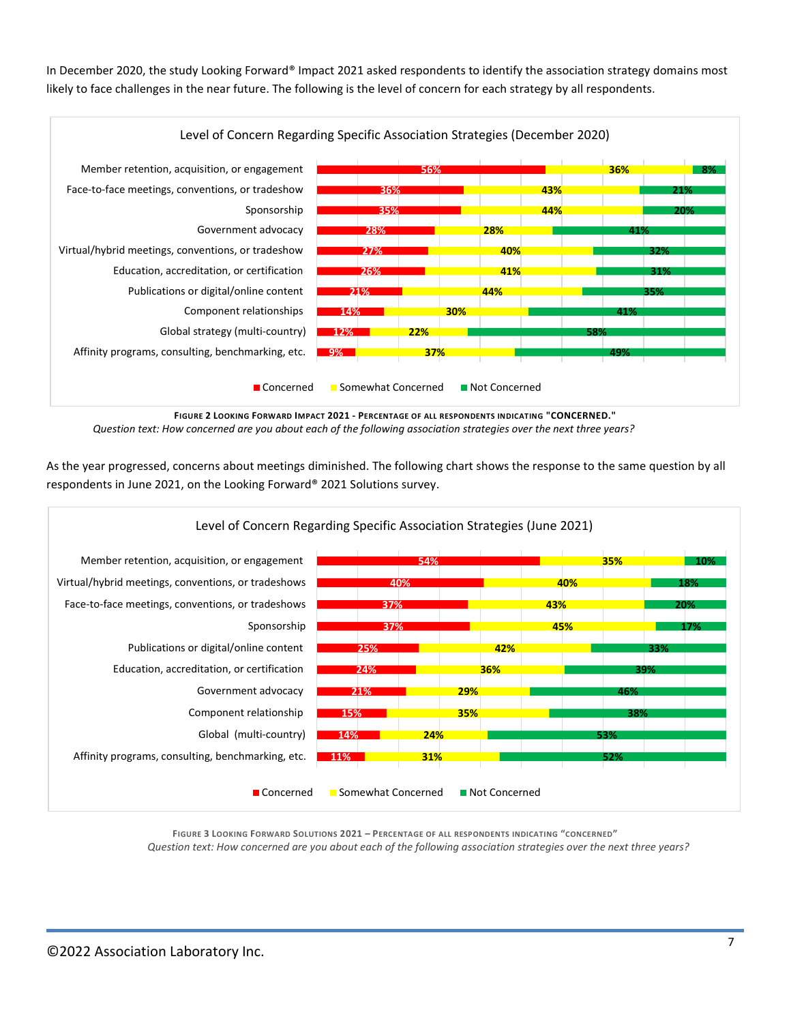In December 2020, the study Looking Forward® Impact 2021 asked respondents to identify the association strategy domains most likely to face challenges in the near future. The following is the level of concern for each strategy by all respondents.



*Question text: How concerned are you about each of the following association strategies over the next three years?*

As the year progressed, concerns about meetings diminished. The following chart shows the response to the same question by all respondents in June 2021, on the Looking Forward® 2021 Solutions survey.



**FIGURE 3 LOOKING FORWARD SOLUTIONS 2021 – PERCENTAGE OF ALL RESPONDENTS INDICATING "CONCERNED"** *Question text: How concerned are you about each of the following association strategies over the next three years?*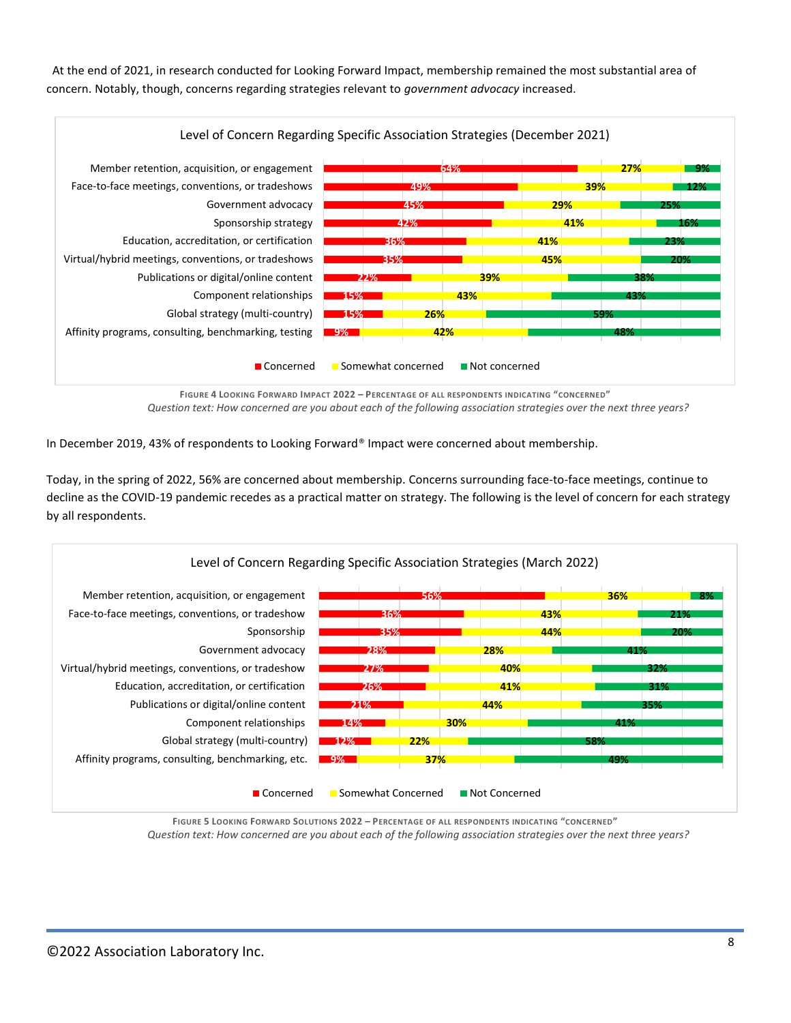At the end of 2021, in research conducted for Looking Forward Impact, membership remained the most substantial area of concern. Notably, though, concerns regarding strategies relevant to *government advocacy* increased.



**FIGURE 4 LOOKING FORWARD IMPACT 2022 – PERCENTAGE OF ALL RESPONDENTS INDICATING "CONCERNED"** *Question text: How concerned are you about each of the following association strategies over the next three years?*

In December 2019, 43% of respondents to Looking Forward® Impact were concerned about membership.

Today, in the spring of 2022, 56% are concerned about membership. Concerns surrounding face-to-face meetings, continue to decline as the COVID-19 pandemic recedes as a practical matter on strategy. The following is the level of concern for each strategy by all respondents.



**FIGURE 5 LOOKING FORWARD SOLUTIONS 2022 – PERCENTAGE OF ALL RESPONDENTS INDICATING "CONCERNED"** *Question text: How concerned are you about each of the following association strategies over the next three years?*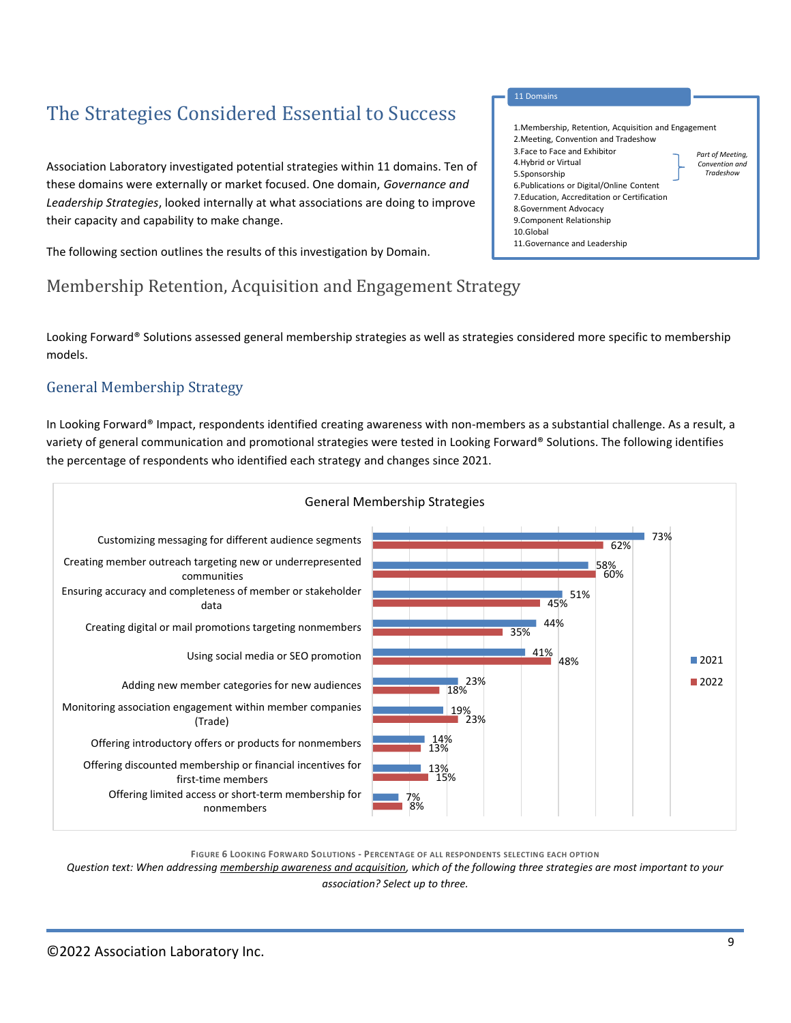# <span id="page-8-0"></span>The Strategies Considered Essential to Success

Association Laboratory investigated potential strategies within 11 domains. Ten of these domains were externally or market focused. One domain, *Governance and Leadership Strategies*, looked internally at what associations are doing to improve their capacity and capability to make change.

The following section outlines the results of this investigation by Domain.

### <span id="page-8-1"></span>Membership Retention, Acquisition and Engagement Strategy

Looking Forward® Solutions assessed general membership strategies as well as strategies considered more specific to membership models.

4.Hybrid or Virtual 5.Sponsorship

10.Global

8.Government Advocacy 9.Component Relationship

11.Governance and Leadership

6.Publications or Digital/Online Content 7.Education, Accreditation or Certification *Part of Meeting, Convention and Tradeshow*

#### <span id="page-8-2"></span>General Membership Strategy

In Looking Forward® Impact, respondents identified creating awareness with non-members as a substantial challenge. As a result, a variety of general communication and promotional strategies were tested in Looking Forward® Solutions. The following identifies the percentage of respondents who identified each strategy and changes since 2021.



**FIGURE 6 LOOKING FORWARD SOLUTIONS - PERCENTAGE OF ALL RESPONDENTS SELECTING EACH OPTION**

*Question text: When addressing membership awareness and acquisition, which of the following three strategies are most important to your association? Select up to three.*

#### 1.Membership, Retention, Acquisition and Engagement 2.Meeting, Convention and Tradeshow 3.Face to Face and Exhibitor 11 Domains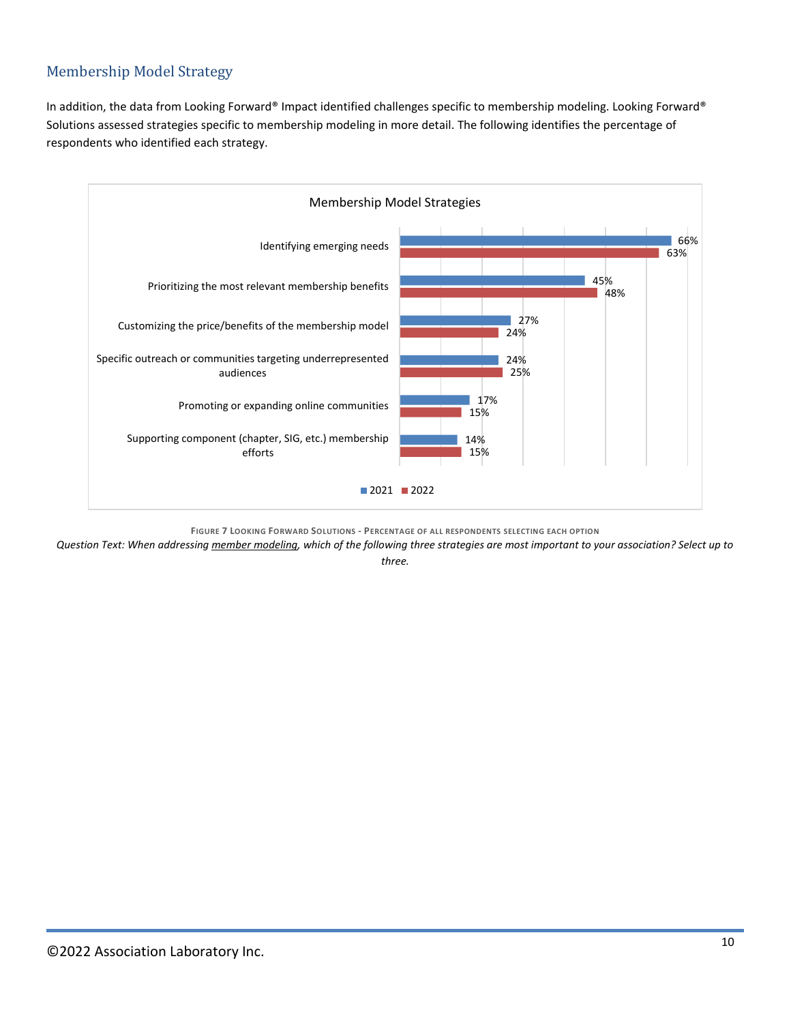### <span id="page-9-0"></span>Membership Model Strategy

In addition, the data from Looking Forward® Impact identified challenges specific to membership modeling. Looking Forward® Solutions assessed strategies specific to membership modeling in more detail. The following identifies the percentage of respondents who identified each strategy.



**FIGURE 7 LOOKING FORWARD SOLUTIONS - PERCENTAGE OF ALL RESPONDENTS SELECTING EACH OPTION**

*Question Text: When addressing member modeling, which of the following three strategies are most important to your association? Select up to* 

*three.*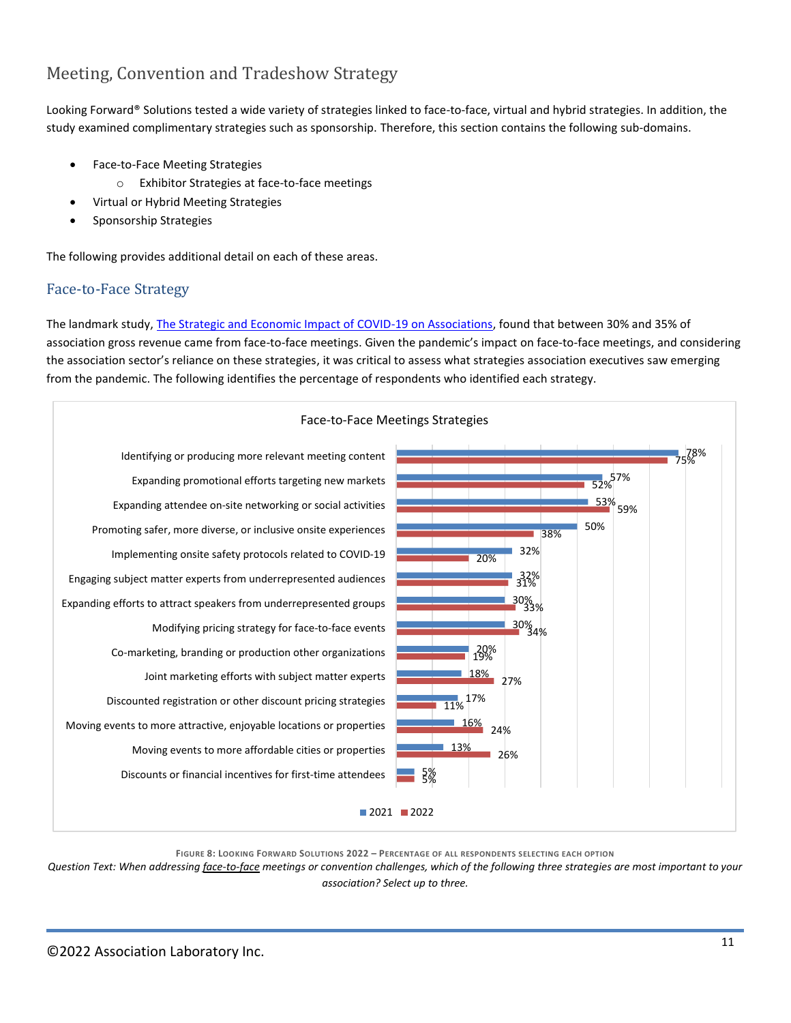### <span id="page-10-0"></span>Meeting, Convention and Tradeshow Strategy

Looking Forward® Solutions tested a wide variety of strategies linked to face-to-face, virtual and hybrid strategies. In addition, the study examined complimentary strategies such as sponsorship. Therefore, this section contains the following sub-domains.

- Face-to-Face Meeting Strategies
	- o Exhibitor Strategies at face-to-face meetings
- Virtual or Hybrid Meeting Strategies
- Sponsorship Strategies

The following provides additional detail on each of these areas.

#### <span id="page-10-1"></span>Face-to-Face Strategy

The landmark study, [The Strategic and Economic Impact of COVID-19 on Associations,](https://assoclab.ce21.com/item/the-strategic-economic-impact-covid19-association-sector-351623) found that between 30% and 35% of association gross revenue came from face-to-face meetings. Given the pandemic's impact on face-to-face meetings, and considering the association sector's reliance on these strategies, it was critical to assess what strategies association executives saw emerging from the pandemic. The following identifies the percentage of respondents who identified each strategy.



**FIGURE 8: LOOKING FORWARD SOLUTIONS 2022 – PERCENTAGE OF ALL RESPONDENTS SELECTING EACH OPTION**

*Question Text: When addressing face-to-face meetings or convention challenges, which of the following three strategies are most important to your association? Select up to three.*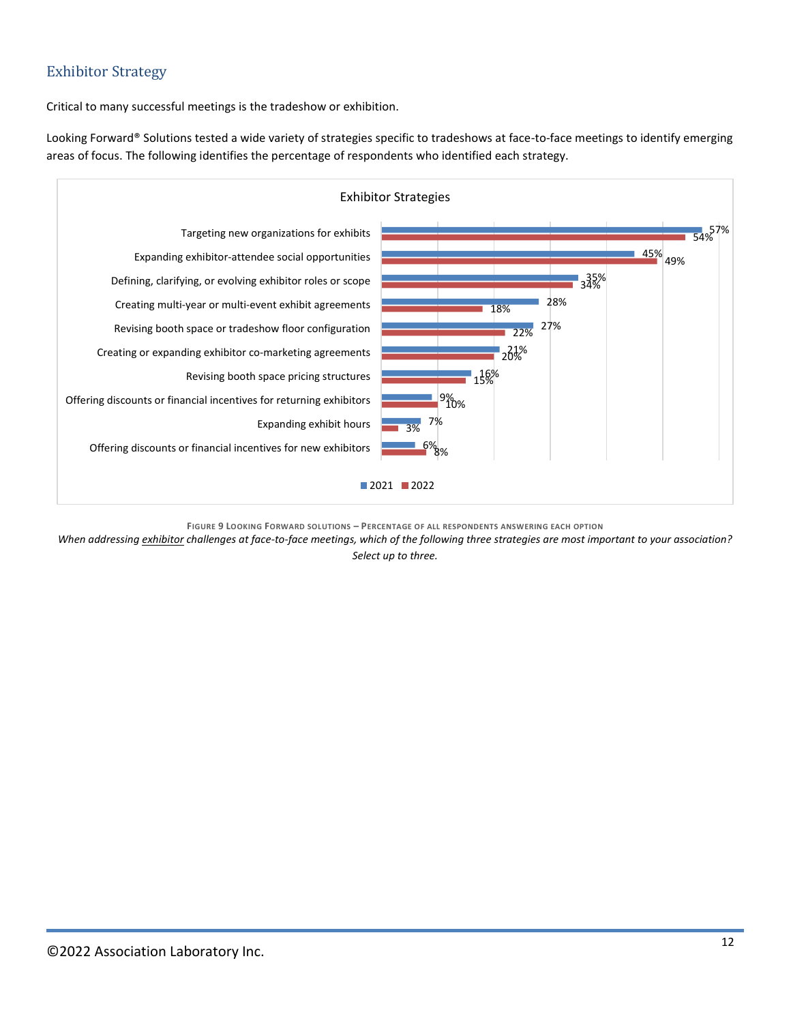### <span id="page-11-0"></span>Exhibitor Strategy

Critical to many successful meetings is the tradeshow or exhibition.

Looking Forward® Solutions tested a wide variety of strategies specific to tradeshows at face-to-face meetings to identify emerging areas of focus. The following identifies the percentage of respondents who identified each strategy.



**FIGURE 9 LOOKING FORWARD SOLUTIONS – PERCENTAGE OF ALL RESPONDENTS ANSWERING EACH OPTION**

*When addressing exhibitor challenges at face-to-face meetings, which of the following three strategies are most important to your association? Select up to three.*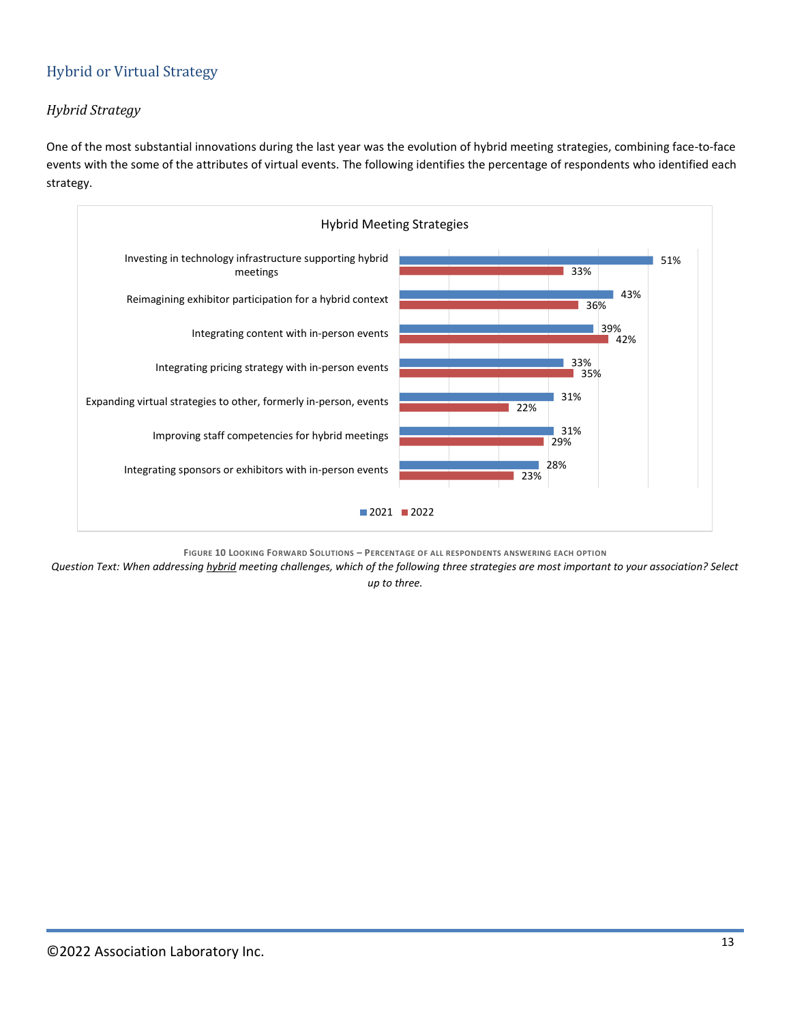### <span id="page-12-0"></span>Hybrid or Virtual Strategy

#### *Hybrid Strategy*

One of the most substantial innovations during the last year was the evolution of hybrid meeting strategies, combining face-to-face events with the some of the attributes of virtual events. The following identifies the percentage of respondents who identified each strategy.



**FIGURE 10 LOOKING FORWARD SOLUTIONS – PERCENTAGE OF ALL RESPONDENTS ANSWERING EACH OPTION**

*Question Text: When addressing hybrid meeting challenges, which of the following three strategies are most important to your association? Select up to three.*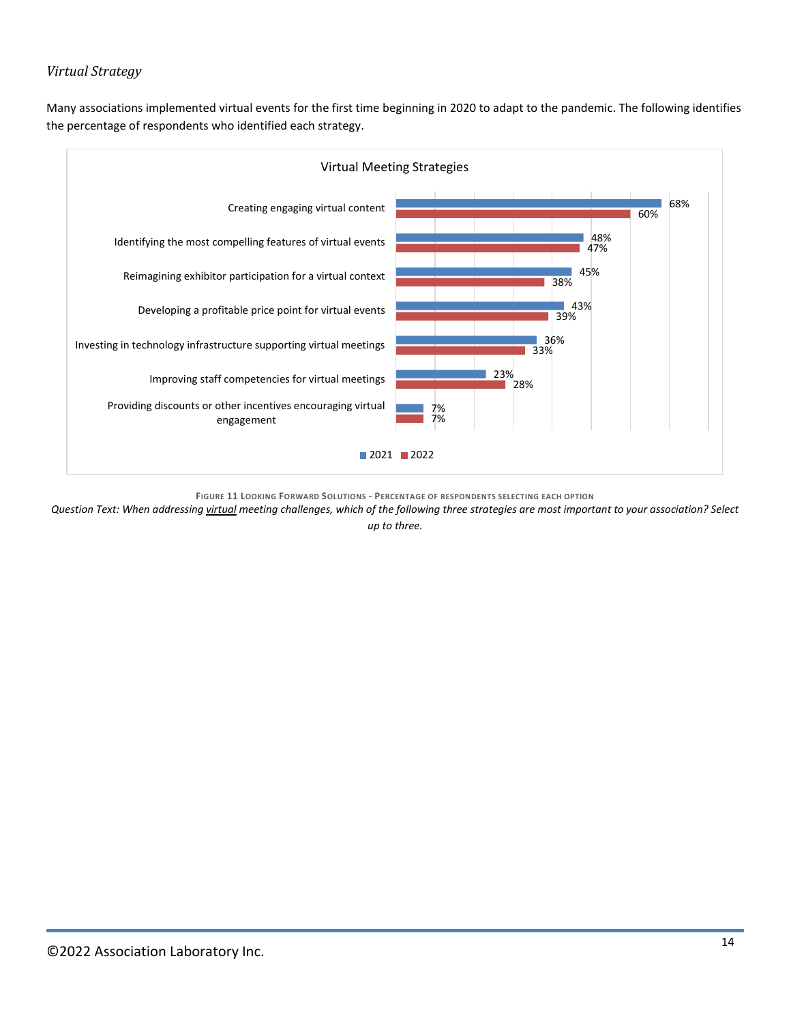#### *Virtual Strategy*

Many associations implemented virtual events for the first time beginning in 2020 to adapt to the pandemic. The following identifies the percentage of respondents who identified each strategy.



**FIGURE 11 LOOKING FORWARD SOLUTIONS - PERCENTAGE OF RESPONDENTS SELECTING EACH OPTION**

*Question Text: When addressing virtual meeting challenges, which of the following three strategies are most important to your association? Select* 

*up to three.*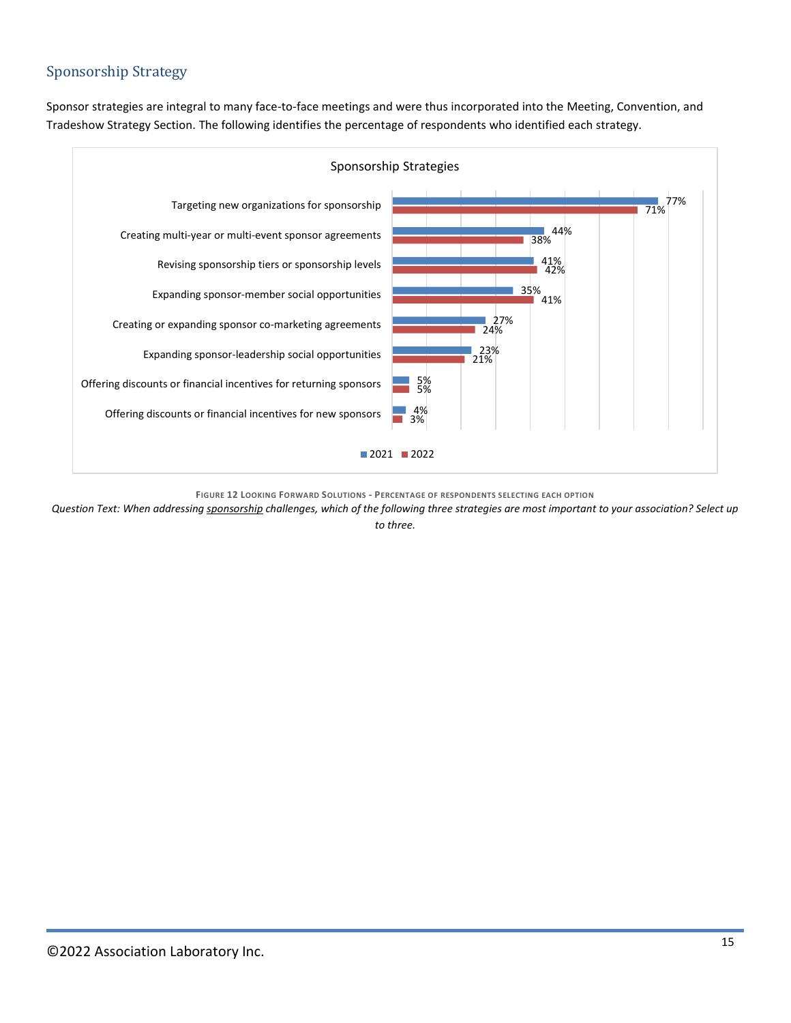### <span id="page-14-0"></span>Sponsorship Strategy

Sponsor strategies are integral to many face-to-face meetings and were thus incorporated into the Meeting, Convention, and Tradeshow Strategy Section. The following identifies the percentage of respondents who identified each strategy.



**FIGURE 12 LOOKING FORWARD SOLUTIONS - PERCENTAGE OF RESPONDENTS SELECTING EACH OPTION**

*Question Text: When addressing sponsorship challenges, which of the following three strategies are most important to your association? Select up* 

*to three.*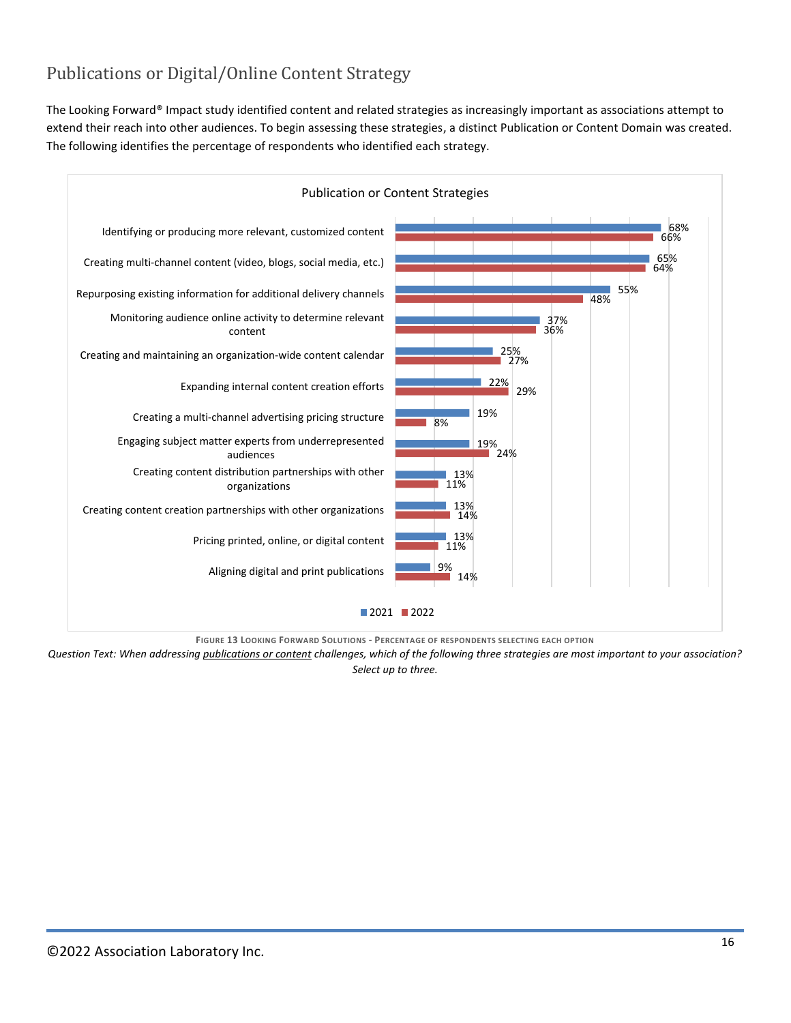### <span id="page-15-0"></span>Publications or Digital/Online Content Strategy

The Looking Forward® Impact study identified content and related strategies as increasingly important as associations attempt to extend their reach into other audiences. To begin assessing these strategies, a distinct Publication or Content Domain was created. The following identifies the percentage of respondents who identified each strategy.



**FIGURE 13 LOOKING FORWARD SOLUTIONS - PERCENTAGE OF RESPONDENTS SELECTING EACH OPTION**

*Question Text: When addressing publications or content challenges, which of the following three strategies are most important to your association? Select up to three.*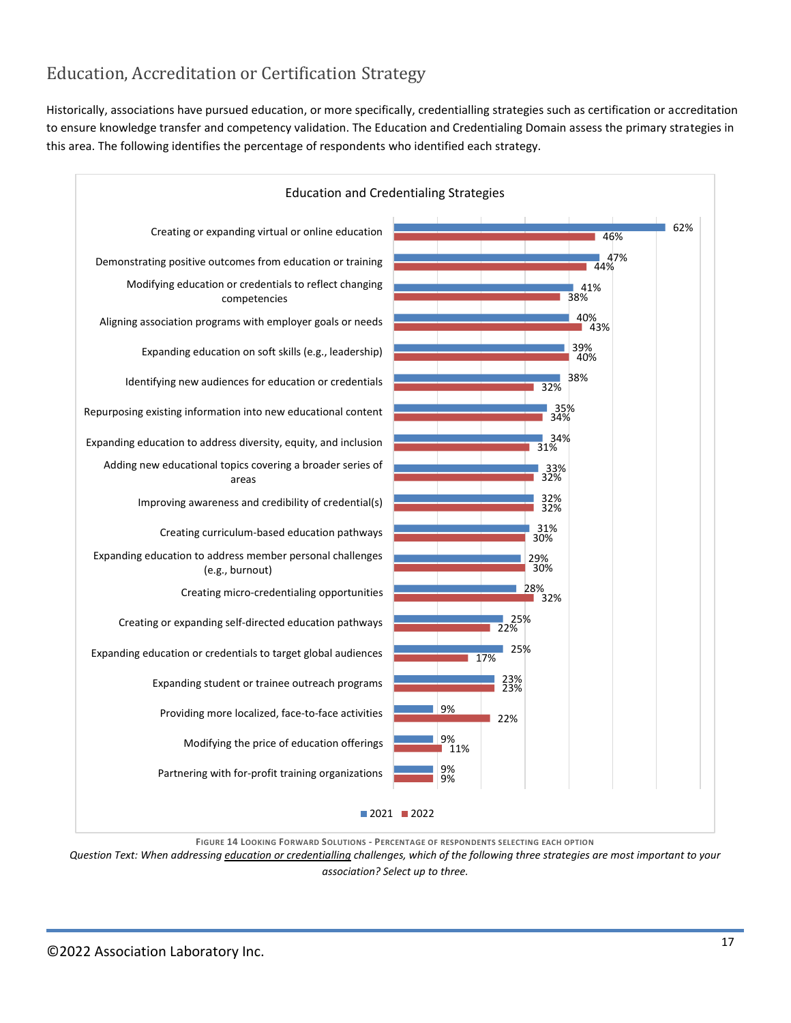### <span id="page-16-0"></span>Education, Accreditation or Certification Strategy

Historically, associations have pursued education, or more specifically, credentialling strategies such as certification or accreditation to ensure knowledge transfer and competency validation. The Education and Credentialing Domain assess the primary strategies in this area. The following identifies the percentage of respondents who identified each strategy.



**FIGURE 14 LOOKING FORWARD SOLUTIONS - PERCENTAGE OF RESPONDENTS SELECTING EACH OPTION**

*Question Text: When addressing education or credentialling challenges, which of the following three strategies are most important to your association? Select up to three.*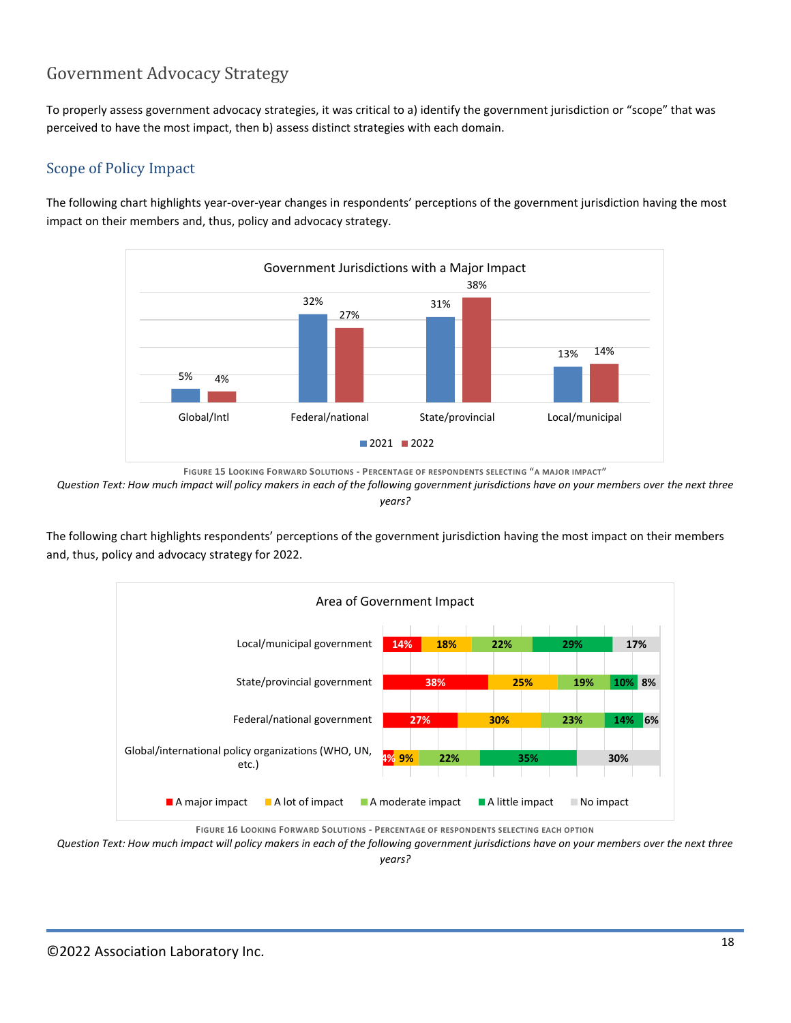### <span id="page-17-0"></span>Government Advocacy Strategy

To properly assess government advocacy strategies, it was critical to a) identify the government jurisdiction or "scope" that was perceived to have the most impact, then b) assess distinct strategies with each domain.

#### <span id="page-17-1"></span>Scope of Policy Impact

The following chart highlights year-over-year changes in respondents' perceptions of the government jurisdiction having the most impact on their members and, thus, policy and advocacy strategy.



**FIGURE 15 LOOKING FORWARD SOLUTIONS - PERCENTAGE OF RESPONDENTS SELECTING "A MAJOR IMPACT"**

*Question Text: How much impact will policy makers in each of the following government jurisdictions have on your members over the next three years?*

The following chart highlights respondents' perceptions of the government jurisdiction having the most impact on their members and, thus, policy and advocacy strategy for 2022.



**FIGURE 16 LOOKING FORWARD SOLUTIONS - PERCENTAGE OF RESPONDENTS SELECTING EACH OPTION**

*Question Text: How much impact will policy makers in each of the following government jurisdictions have on your members over the next three years?*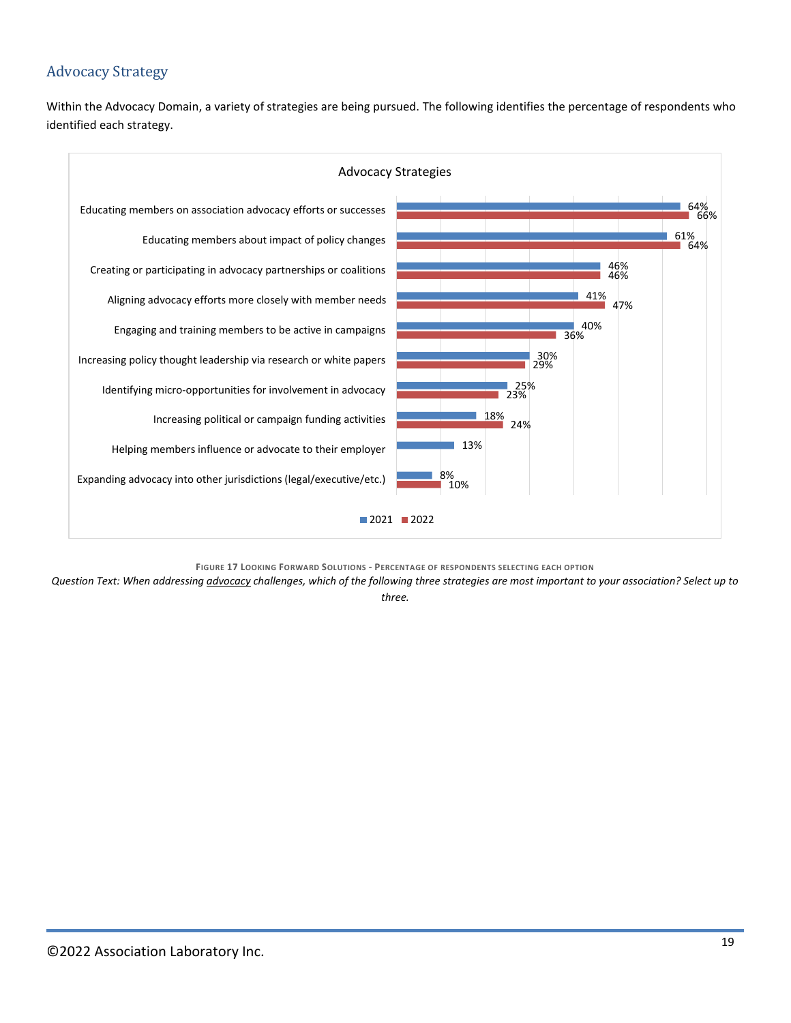### <span id="page-18-0"></span>Advocacy Strategy

Within the Advocacy Domain, a variety of strategies are being pursued. The following identifies the percentage of respondents who identified each strategy.



**FIGURE 17 LOOKING FORWARD SOLUTIONS - PERCENTAGE OF RESPONDENTS SELECTING EACH OPTION**

*Question Text: When addressing advocacy challenges, which of the following three strategies are most important to your association? Select up to three.*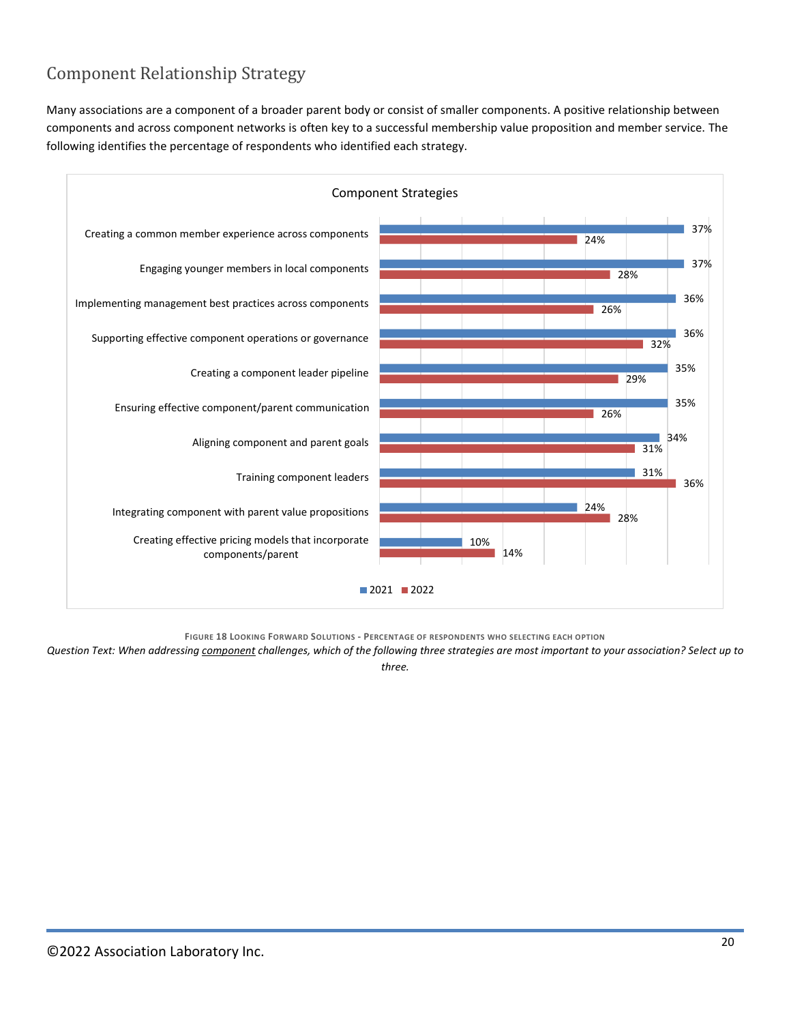### <span id="page-19-0"></span>Component Relationship Strategy

Many associations are a component of a broader parent body or consist of smaller components. A positive relationship between components and across component networks is often key to a successful membership value proposition and member service. The following identifies the percentage of respondents who identified each strategy.



**FIGURE 18 LOOKING FORWARD SOLUTIONS - PERCENTAGE OF RESPONDENTS WHO SELECTING EACH OPTION**

*Question Text: When addressing component challenges, which of the following three strategies are most important to your association? Select up to three.*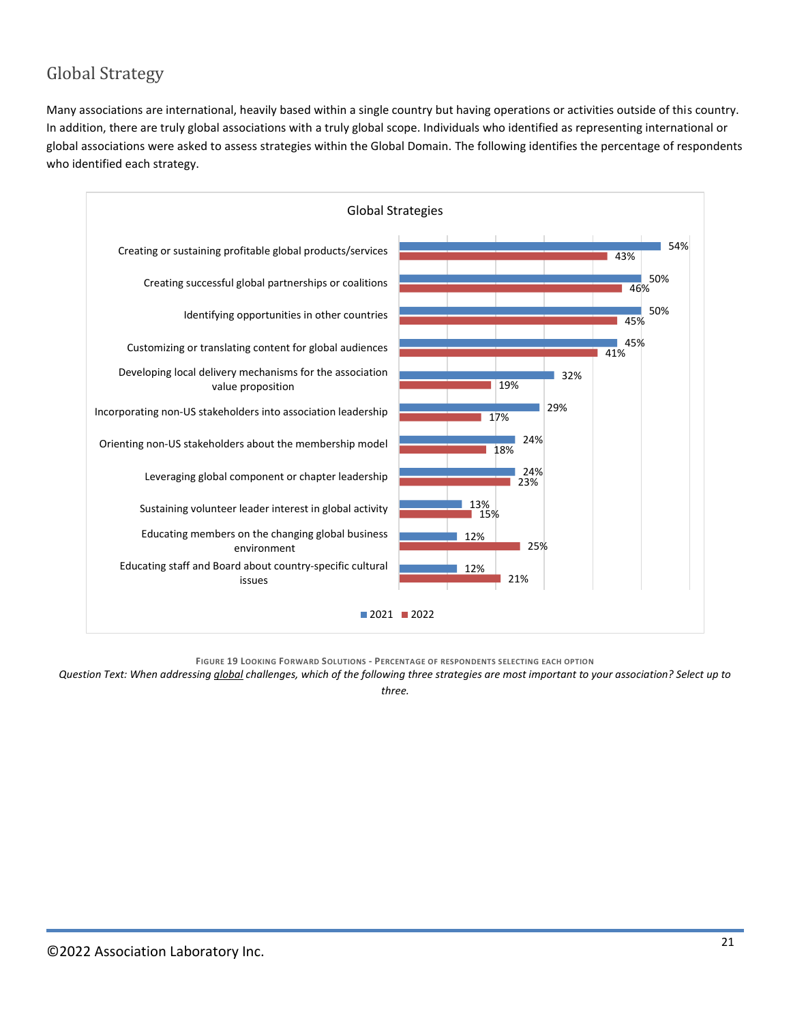### <span id="page-20-0"></span>Global Strategy

Many associations are international, heavily based within a single country but having operations or activities outside of this country. In addition, there are truly global associations with a truly global scope. Individuals who identified as representing international or global associations were asked to assess strategies within the Global Domain. The following identifies the percentage of respondents who identified each strategy.



**FIGURE 19 LOOKING FORWARD SOLUTIONS - PERCENTAGE OF RESPONDENTS SELECTING EACH OPTION**

*Question Text: When addressing global challenges, which of the following three strategies are most important to your association? Select up to three.*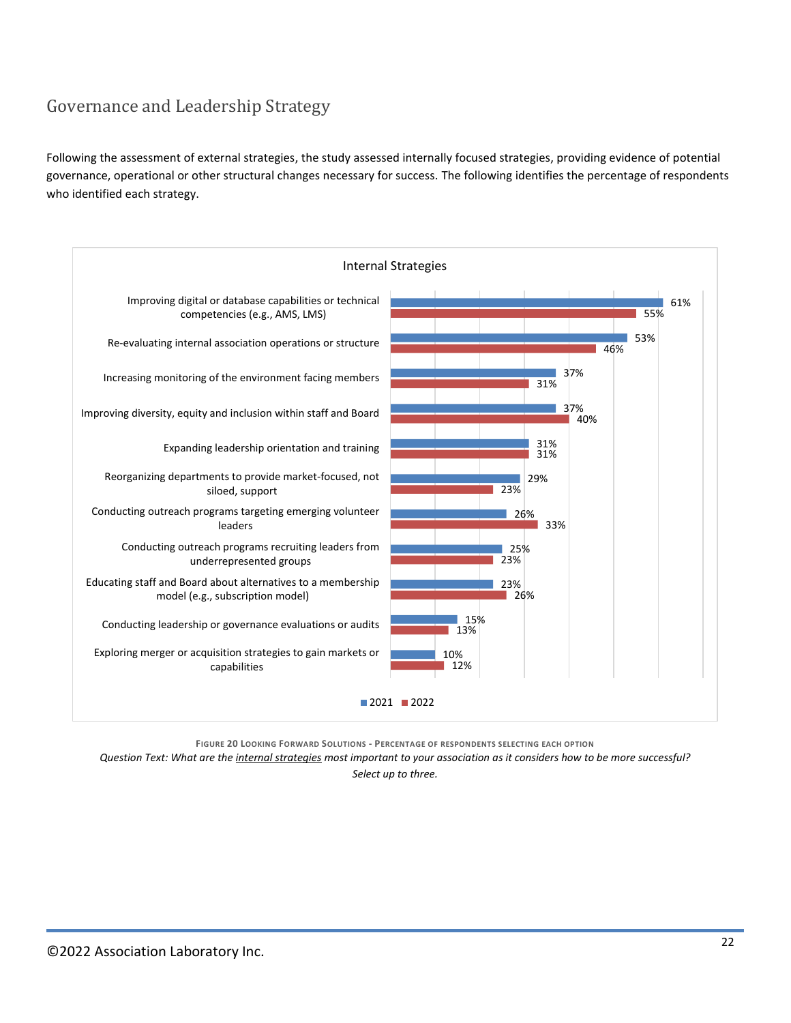### <span id="page-21-0"></span>Governance and Leadership Strategy

Following the assessment of external strategies, the study assessed internally focused strategies, providing evidence of potential governance, operational or other structural changes necessary for success. The following identifies the percentage of respondents who identified each strategy.



**FIGURE 20 LOOKING FORWARD SOLUTIONS - PERCENTAGE OF RESPONDENTS SELECTING EACH OPTION**

*Question Text: What are the internal strategies most important to your association as it considers how to be more successful?*

*Select up to three.*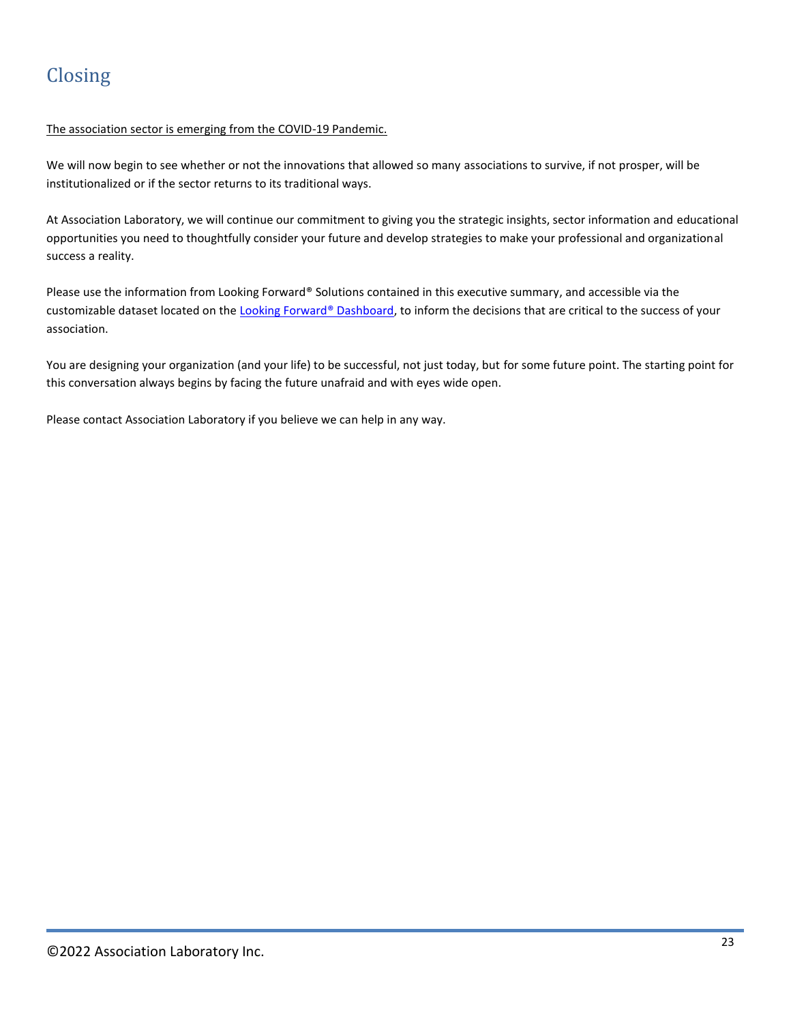#### <span id="page-22-0"></span>The association sector is emerging from the COVID-19 Pandemic.

We will now begin to see whether or not the innovations that allowed so many associations to survive, if not prosper, will be institutionalized or if the sector returns to its traditional ways.

At Association Laboratory, we will continue our commitment to giving you the strategic insights, sector information and educational opportunities you need to thoughtfully consider your future and develop strategies to make your professional and organizational success a reality.

Please use the information from Looking Forward® Solutions contained in this executive summary, and accessible via the customizable dataset located on th[e Looking Forward®](https://www.associationlaboratory.com/looking-forward-dashboard/) Dashboard, to inform the decisions that are critical to the success of your association.

You are designing your organization (and your life) to be successful, not just today, but for some future point. The starting point for this conversation always begins by facing the future unafraid and with eyes wide open.

Please contact Association Laboratory if you believe we can help in any way.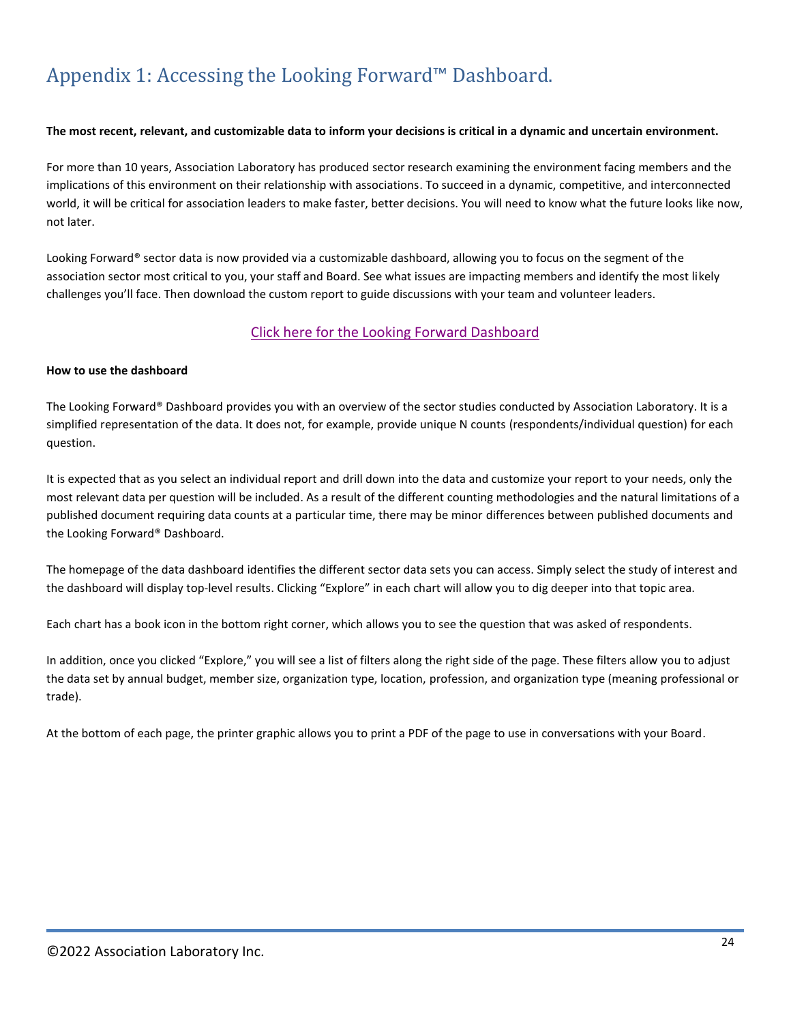# <span id="page-23-0"></span>Appendix 1: Accessing the Looking Forward™ Dashboard.

#### **The most recent, relevant, and customizable data to inform your decisions is critical in a dynamic and uncertain environment.**

For more than 10 years, Association Laboratory has produced sector research examining the environment facing members and the implications of this environment on their relationship with associations. To succeed in a dynamic, competitive, and interconnected world, it will be critical for association leaders to make faster, better decisions. You will need to know what the future looks like now, not later.

Looking Forward® sector data is now provided via a customizable dashboard, allowing you to focus on the segment of the association sector most critical to you, your staff and Board. See what issues are impacting members and identify the most likely challenges you'll face. Then download the custom report to guide discussions with your team and volunteer leaders.

#### [Click here for the Looking Forward Dashboard](https://www.associationlaboratory.com/looking-forward-dashboard/)

#### **How to use the dashboard**

The Looking Forward® Dashboard provides you with an overview of the sector studies conducted by Association Laboratory. It is a simplified representation of the data. It does not, for example, provide unique N counts (respondents/individual question) for each question.

It is expected that as you select an individual report and drill down into the data and customize your report to your needs, only the most relevant data per question will be included. As a result of the different counting methodologies and the natural limitations of a published document requiring data counts at a particular time, there may be minor differences between published documents and the Looking Forward® Dashboard.

The homepage of the data dashboard identifies the different sector data sets you can access. Simply select the study of interest and the dashboard will display top-level results. Clicking "Explore" in each chart will allow you to dig deeper into that topic area.

Each chart has a book icon in the bottom right corner, which allows you to see the question that was asked of respondents.

In addition, once you clicked "Explore," you will see a list of filters along the right side of the page. These filters allow you to adjust the data set by annual budget, member size, organization type, location, profession, and organization type (meaning professional or trade).

At the bottom of each page, the printer graphic allows you to print a PDF of the page to use in conversations with your Board.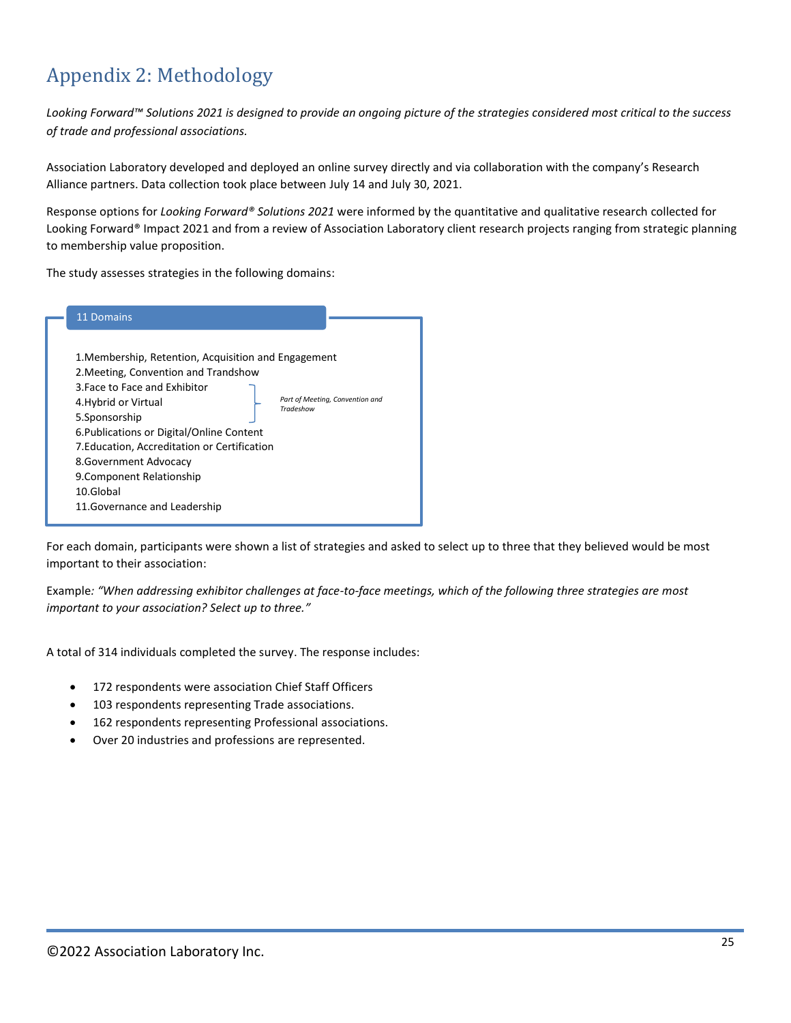# <span id="page-24-0"></span>Appendix 2: Methodology

*Looking Forward™ Solutions 2021 is designed to provide an ongoing picture of the strategies considered most critical to the success of trade and professional associations.* 

Association Laboratory developed and deployed an online survey directly and via collaboration with the company's Research Alliance partners. Data collection took place between July 14 and July 30, 2021.

Response options for *Looking Forward® Solutions 2021* were informed by the quantitative and qualitative research collected for Looking Forward® Impact 2021 and from a review of Association Laboratory client research projects ranging from strategic planning to membership value proposition.

The study assesses strategies in the following domains:

| 1. Membership, Retention, Acquisition and Engagement<br>2. Meeting, Convention and Trandshow<br>3. Face to Face and Exhibitor<br>Part of Meeting, Convention and<br>4. Hybrid or Virtual<br>Tradeshow<br>5.Sponsorship<br>6. Publications or Digital/Online Content<br>7. Education, Accreditation or Certification<br>8. Government Advocacy<br>9. Component Relationship<br>10.Global | 11 Domains                    |  |
|-----------------------------------------------------------------------------------------------------------------------------------------------------------------------------------------------------------------------------------------------------------------------------------------------------------------------------------------------------------------------------------------|-------------------------------|--|
|                                                                                                                                                                                                                                                                                                                                                                                         | 11. Governance and Leadership |  |

For each domain, participants were shown a list of strategies and asked to select up to three that they believed would be most important to their association:

Example*: "When addressing exhibitor challenges at face-to-face meetings, which of the following three strategies are most important to your association? Select up to three."*

A total of 314 individuals completed the survey. The response includes:

- 172 respondents were association Chief Staff Officers
- 103 respondents representing Trade associations.
- 162 respondents representing Professional associations.
- Over 20 industries and professions are represented.